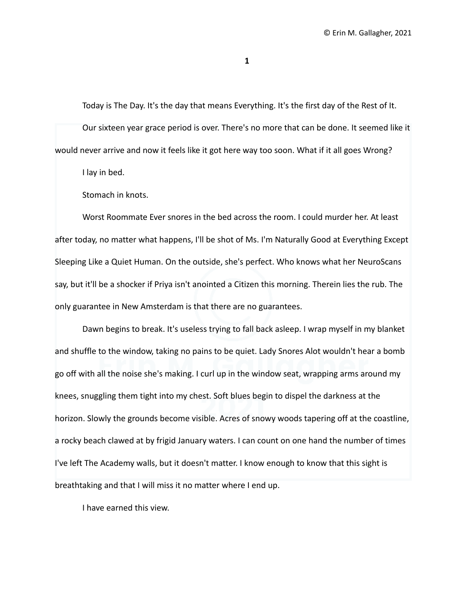**1**

Today is The Day. It's the day that means Everything. It's the first day of the Rest of It.

Our sixteen year grace period is over. There's no more that can be done. It seemed like it would never arrive and now it feels like it got here way too soon. What if it all goes Wrong?

I lay in bed.

Stomach in knots.

Worst Roommate Ever snores in the bed across the room. I could murder her. At least after today, no matter what happens, I'll be shot of Ms. I'm Naturally Good at Everything Except Sleeping Like a Quiet Human. On the outside, she's perfect. Who knows what her NeuroScans say, but it'll be a shocker if Priya isn't anointed a Citizen this morning. Therein lies the rub. The only guarantee in New Amsterdam is that there are no guarantees.

Dawn begins to break. It's useless trying to fall back asleep. I wrap myself in my blanket and shuffle to the window, taking no pains to be quiet. Lady Snores Alot wouldn't hear a bomb go off with all the noise she's making. I curl up in the window seat, wrapping arms around my knees, snuggling them tight into my chest. Soft blues begin to dispel the darkness at the horizon. Slowly the grounds become visible. Acres of snowy woods tapering off at the coastline, a rocky beach clawed at by frigid January waters. I can count on one hand the number of times I've left The Academy walls, but it doesn't matter. I know enough to know that this sight is breathtaking and that I will miss it no matter where I end up.

I have earned this view.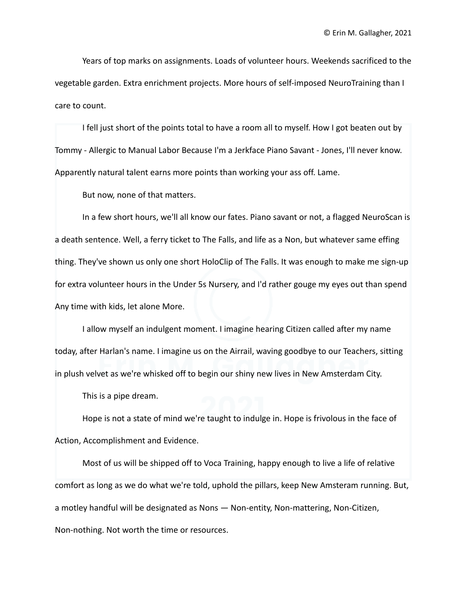Years of top marks on assignments. Loads of volunteer hours. Weekends sacrificed to the vegetable garden. Extra enrichment projects. More hours of self-imposed NeuroTraining than I care to count.

I fell just short of the points total to have a room all to myself. How I got beaten out by Tommy - Allergic to Manual Labor Because I'm a Jerkface Piano Savant - Jones, I'll never know. Apparently natural talent earns more points than working your ass off. Lame.

But now, none of that matters.

In a few short hours, we'll all know our fates. Piano savant or not, a flagged NeuroScan is a death sentence. Well, a ferry ticket to The Falls, and life as a Non, but whatever same effing thing. They've shown us only one short HoloClip of The Falls. It was enough to make me sign-up for extra volunteer hours in the Under 5s Nursery, and I'd rather gouge my eyes out than spend Any time with kids, let alone More.

I allow myself an indulgent moment. I imagine hearing Citizen called after my name today, after Harlan's name. I imagine us on the Airrail, waving goodbye to our Teachers, sitting in plush velvet as we're whisked off to begin our shiny new lives in New Amsterdam City.

This is a pipe dream.

Hope is not a state of mind we're taught to indulge in. Hope is frivolous in the face of Action, Accomplishment and Evidence.

Most of us will be shipped off to Voca Training, happy enough to live a life of relative comfort as long as we do what we're told, uphold the pillars, keep New Amsteram running. But, a motley handful will be designated as Nons — Non-entity, Non-mattering, Non-Citizen, Non-nothing. Not worth the time or resources.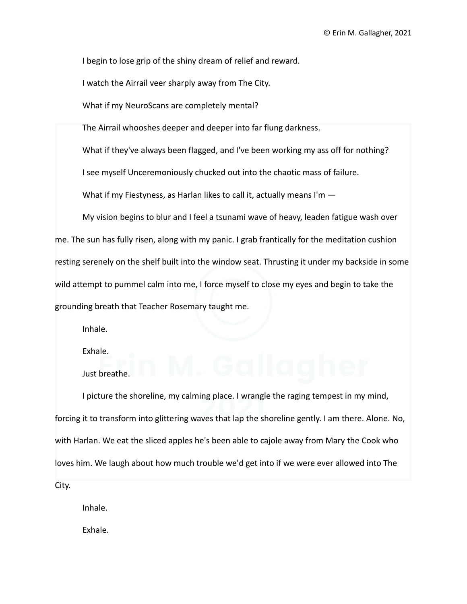I begin to lose grip of the shiny dream of relief and reward.

I watch the Airrail veer sharply away from The City.

What if my NeuroScans are completely mental?

The Airrail whooshes deeper and deeper into far flung darkness.

What if they've always been flagged, and I've been working my ass off for nothing?

I see myself Unceremoniously chucked out into the chaotic mass of failure.

What if my Fiestyness, as Harlan likes to call it, actually means I'm -

My vision begins to blur and I feel a tsunami wave of heavy, leaden fatigue wash over me. The sun has fully risen, along with my panic. I grab frantically for the meditation cushion resting serenely on the shelf built into the window seat. Thrusting it under my backside in some wild attempt to pummel calm into me, I force myself to close my eyes and begin to take the grounding breath that Teacher Rosemary taught me.

Inhale.

Exhale.

Just breathe.

I picture the shoreline, my calming place. I wrangle the raging tempest in my mind, forcing it to transform into glittering waves that lap the shoreline gently. I am there. Alone. No, with Harlan. We eat the sliced apples he's been able to cajole away from Mary the Cook who loves him. We laugh about how much trouble we'd get into if we were ever allowed into The City.

Inhale.

Exhale.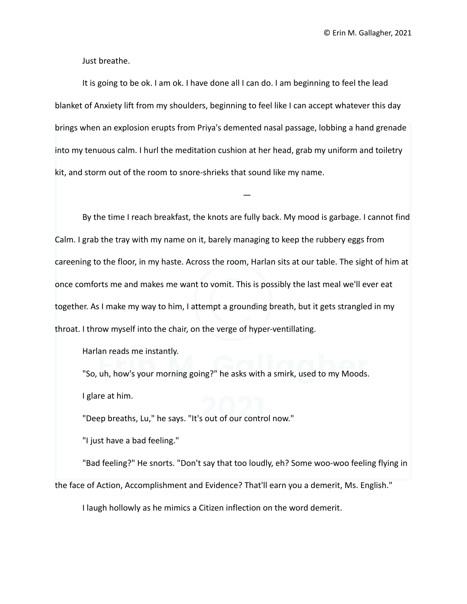Just breathe.

It is going to be ok. I am ok. I have done all I can do. I am beginning to feel the lead blanket of Anxiety lift from my shoulders, beginning to feel like I can accept whatever this day brings when an explosion erupts from Priya's demented nasal passage, lobbing a hand grenade into my tenuous calm. I hurl the meditation cushion at her head, grab my uniform and toiletry kit, and storm out of the room to snore-shrieks that sound like my name.

—

By the time I reach breakfast, the knots are fully back. My mood is garbage. I cannot find Calm. I grab the tray with my name on it, barely managing to keep the rubbery eggs from careening to the floor, in my haste. Across the room, Harlan sits at our table. The sight of him at once comforts me and makes me want to vomit. This is possibly the last meal we'll ever eat together. As I make my way to him, I attempt a grounding breath, but it gets strangled in my throat. I throw myself into the chair, on the verge of hyper-ventillating.

Harlan reads me instantly.

"So, uh, how's your morning going?" he asks with a smirk, used to my Moods. I glare at him.

"Deep breaths, Lu," he says. "It's out of our control now."

"I just have a bad feeling."

"Bad feeling?" He snorts. "Don't say that too loudly, eh? Some woo-woo feeling flying in the face of Action, Accomplishment and Evidence? That'll earn you a demerit, Ms. English."

I laugh hollowly as he mimics a Citizen inflection on the word demerit.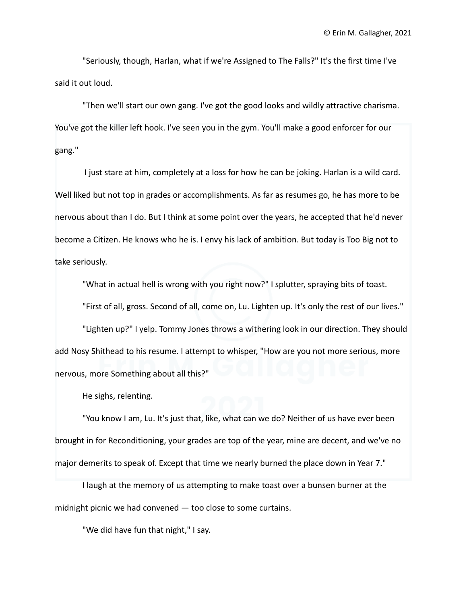"Seriously, though, Harlan, what if we're Assigned to The Falls?" It's the first time I've said it out loud.

"Then we'll start our own gang. I've got the good looks and wildly attractive charisma. You've got the killer left hook. I've seen you in the gym. You'll make a good enforcer for our gang."

I just stare at him, completely at a loss for how he can be joking. Harlan is a wild card. Well liked but not top in grades or accomplishments. As far as resumes go, he has more to be nervous about than I do. But I think at some point over the years, he accepted that he'd never become a Citizen. He knows who he is. I envy his lack of ambition. But today is Too Big not to take seriously.

"What in actual hell is wrong with you right now?" I splutter, spraying bits of toast.

"First of all, gross. Second of all, come on, Lu. Lighten up. It's only the rest of our lives."

"Lighten up?" I yelp. Tommy Jones throws a withering look in our direction. They should add Nosy Shithead to his resume. I attempt to whisper, "How are you not more serious, more nervous, more Something about all this?"

He sighs, relenting.

"You know I am, Lu. It's just that, like, what can we do? Neither of us have ever been brought in for Reconditioning, your grades are top of the year, mine are decent, and we've no major demerits to speak of. Except that time we nearly burned the place down in Year 7."

I laugh at the memory of us attempting to make toast over a bunsen burner at the midnight picnic we had convened — too close to some curtains.

"We did have fun that night," I say.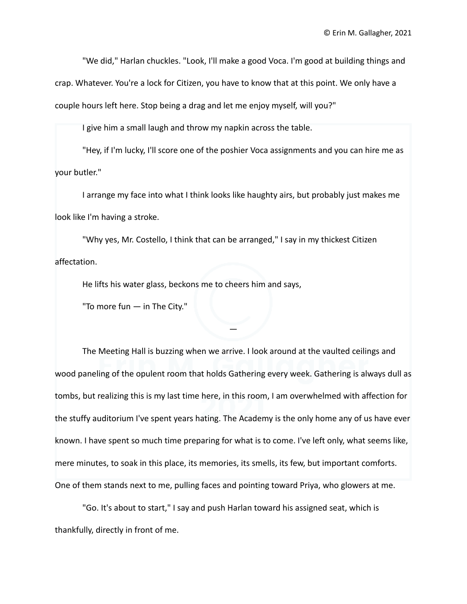"We did," Harlan chuckles. "Look, I'll make a good Voca. I'm good at building things and

crap. Whatever. You're a lock for Citizen, you have to know that at this point. We only have a couple hours left here. Stop being a drag and let me enjoy myself, will you?"

I give him a small laugh and throw my napkin across the table.

"Hey, if I'm lucky, I'll score one of the poshier Voca assignments and you can hire me as your butler."

I arrange my face into what I think looks like haughty airs, but probably just makes me look like I'm having a stroke.

"Why yes, Mr. Costello, I think that can be arranged," I say in my thickest Citizen affectation.

He lifts his water glass, beckons me to cheers him and says,

"To more fun — in The City."

The Meeting Hall is buzzing when we arrive. I look around at the vaulted ceilings and wood paneling of the opulent room that holds Gathering every week. Gathering is always dull as tombs, but realizing this is my last time here, in this room, I am overwhelmed with affection for the stuffy auditorium I've spent years hating. The Academy is the only home any of us have ever known. I have spent so much time preparing for what is to come. I've left only, what seems like, mere minutes, to soak in this place, its memories, its smells, its few, but important comforts. One of them stands next to me, pulling faces and pointing toward Priya, who glowers at me.

—

"Go. It's about to start," I say and push Harlan toward his assigned seat, which is thankfully, directly in front of me.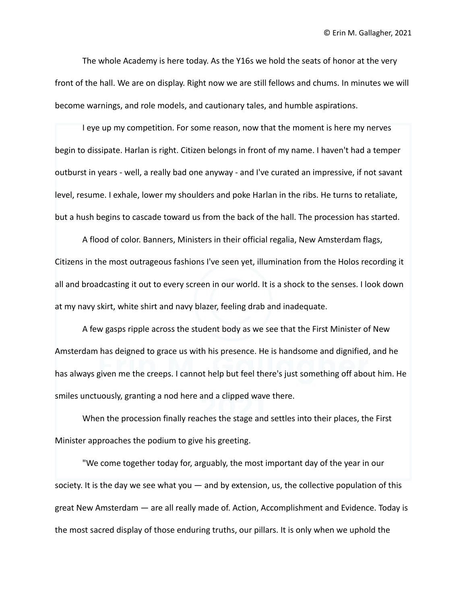The whole Academy is here today. As the Y16s we hold the seats of honor at the very front of the hall. We are on display. Right now we are still fellows and chums. In minutes we will become warnings, and role models, and cautionary tales, and humble aspirations.

I eye up my competition. For some reason, now that the moment is here my nerves begin to dissipate. Harlan is right. Citizen belongs in front of my name. I haven't had a temper outburst in years - well, a really bad one anyway - and I've curated an impressive, if not savant level, resume. I exhale, lower my shoulders and poke Harlan in the ribs. He turns to retaliate, but a hush begins to cascade toward us from the back of the hall. The procession has started.

A flood of color. Banners, Ministers in their official regalia, New Amsterdam flags, Citizens in the most outrageous fashions I've seen yet, illumination from the Holos recording it all and broadcasting it out to every screen in our world. It is a shock to the senses. I look down at my navy skirt, white shirt and navy blazer, feeling drab and inadequate.

A few gasps ripple across the student body as we see that the First Minister of New Amsterdam has deigned to grace us with his presence. He is handsome and dignified, and he has always given me the creeps. I cannot help but feel there's just something off about him. He smiles unctuously, granting a nod here and a clipped wave there.

When the procession finally reaches the stage and settles into their places, the First Minister approaches the podium to give his greeting.

"We come together today for, arguably, the most important day of the year in our society. It is the day we see what you — and by extension, us, the collective population of this great New Amsterdam — are all really made of. Action, Accomplishment and Evidence. Today is the most sacred display of those enduring truths, our pillars. It is only when we uphold the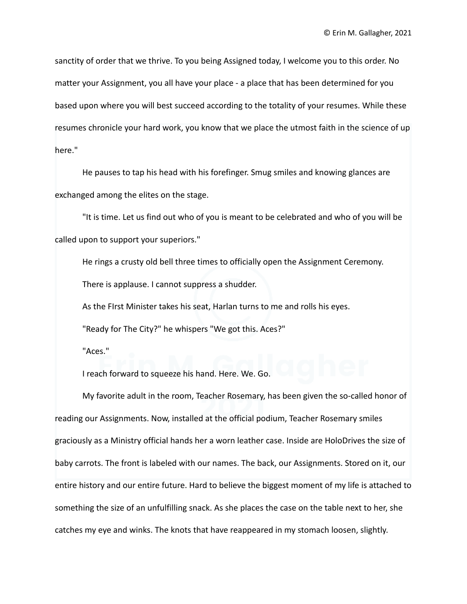sanctity of order that we thrive. To you being Assigned today, I welcome you to this order. No matter your Assignment, you all have your place - a place that has been determined for you based upon where you will best succeed according to the totality of your resumes. While these resumes chronicle your hard work, you know that we place the utmost faith in the science of up here."

He pauses to tap his head with his forefinger. Smug smiles and knowing glances are exchanged among the elites on the stage.

"It is time. Let us find out who of you is meant to be celebrated and who of you will be called upon to support your superiors."

He rings a crusty old bell three times to officially open the Assignment Ceremony.

There is applause. I cannot suppress a shudder.

As the FIrst Minister takes his seat, Harlan turns to me and rolls his eyes.

"Ready for The City?" he whispers "We got this. Aces?"

"Aces."

I reach forward to squeeze his hand. Here. We. Go.

My favorite adult in the room, Teacher Rosemary, has been given the so-called honor of reading our Assignments. Now, installed at the official podium, Teacher Rosemary smiles graciously as a Ministry official hands her a worn leather case. Inside are HoloDrives the size of baby carrots. The front is labeled with our names. The back, our Assignments. Stored on it, our entire history and our entire future. Hard to believe the biggest moment of my life is attached to something the size of an unfulfilling snack. As she places the case on the table next to her, she catches my eye and winks. The knots that have reappeared in my stomach loosen, slightly.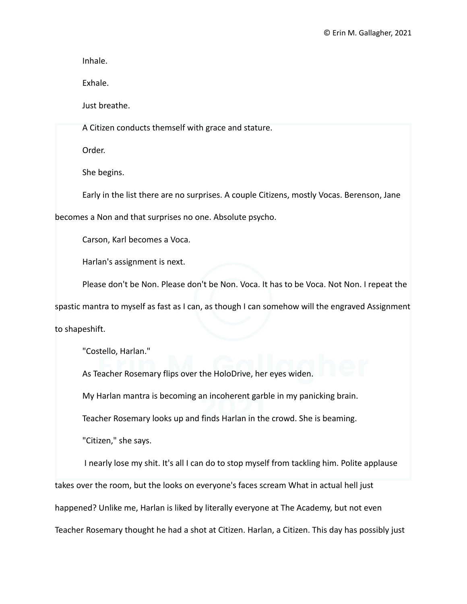Inhale.

Exhale.

Just breathe.

A Citizen conducts themself with grace and stature.

Order.

She begins.

Early in the list there are no surprises. A couple Citizens, mostly Vocas. Berenson, Jane

becomes a Non and that surprises no one. Absolute psycho.

Carson, Karl becomes a Voca.

Harlan's assignment is next.

Please don't be Non. Please don't be Non. Voca. It has to be Voca. Not Non. I repeat the

spastic mantra to myself as fast as I can, as though I can somehow will the engraved Assignment

to shapeshift.

"Costello, Harlan."

As Teacher Rosemary flips over the HoloDrive, her eyes widen.

My Harlan mantra is becoming an incoherent garble in my panicking brain.

Teacher Rosemary looks up and finds Harlan in the crowd. She is beaming.

"Citizen," she says.

I nearly lose my shit. It's all I can do to stop myself from tackling him. Polite applause takes over the room, but the looks on everyone's faces scream What in actual hell just happened? Unlike me, Harlan is liked by literally everyone at The Academy, but not even Teacher Rosemary thought he had a shot at Citizen. Harlan, a Citizen. This day has possibly just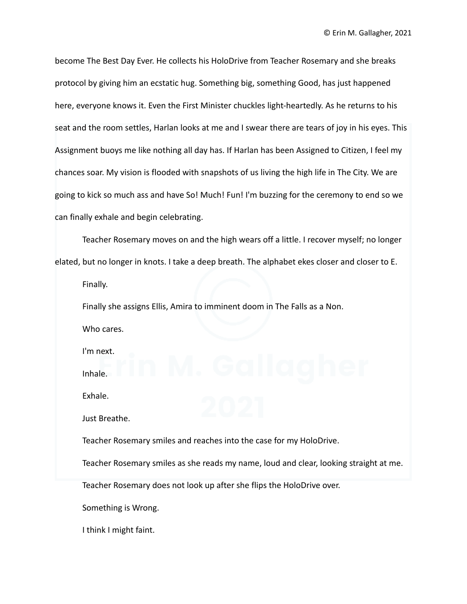become The Best Day Ever. He collects his HoloDrive from Teacher Rosemary and she breaks protocol by giving him an ecstatic hug. Something big, something Good, has just happened here, everyone knows it. Even the First Minister chuckles light-heartedly. As he returns to his seat and the room settles, Harlan looks at me and I swear there are tears of joy in his eyes. This Assignment buoys me like nothing all day has. If Harlan has been Assigned to Citizen, I feel my chances soar. My vision is flooded with snapshots of us living the high life in The City. We are going to kick so much ass and have So! Much! Fun! I'm buzzing for the ceremony to end so we can finally exhale and begin celebrating.

Teacher Rosemary moves on and the high wears off a little. I recover myself; no longer elated, but no longer in knots. I take a deep breath. The alphabet ekes closer and closer to E.

Finally.

Finally she assigns Ellis, Amira to imminent doom in The Falls as a Non. Who cares.

I'm next.

Inhale.

Exhale.

Just Breathe.

Teacher Rosemary smiles and reaches into the case for my HoloDrive.

Teacher Rosemary smiles as she reads my name, loud and clear, looking straight at me.

Teacher Rosemary does not look up after she flips the HoloDrive over.

Something is Wrong.

I think I might faint.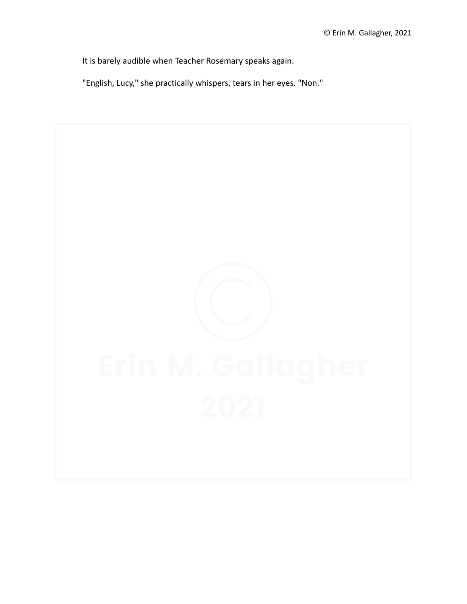It is barely audible when Teacher Rosemary speaks again.

"English, Lucy," she practically whispers, tears in her eyes. "Non."

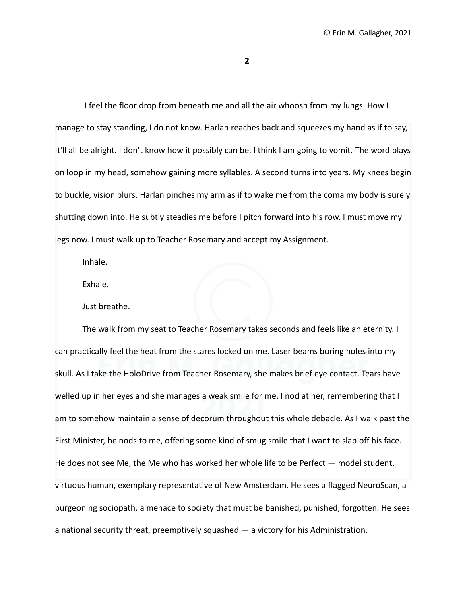**2**

I feel the floor drop from beneath me and all the air whoosh from my lungs. How I manage to stay standing, I do not know. Harlan reaches back and squeezes my hand as if to say, It'll all be alright. I don't know how it possibly can be. I think I am going to vomit. The word plays on loop in my head, somehow gaining more syllables. A second turns into years. My knees begin to buckle, vision blurs. Harlan pinches my arm as if to wake me from the coma my body is surely shutting down into. He subtly steadies me before I pitch forward into his row. I must move my legs now. I must walk up to Teacher Rosemary and accept my Assignment.

Inhale.

Exhale.

Just breathe.

The walk from my seat to Teacher Rosemary takes seconds and feels like an eternity. I can practically feel the heat from the stares locked on me. Laser beams boring holes into my skull. As I take the HoloDrive from Teacher Rosemary, she makes brief eye contact. Tears have welled up in her eyes and she manages a weak smile for me. I nod at her, remembering that I am to somehow maintain a sense of decorum throughout this whole debacle. As I walk past the First Minister, he nods to me, offering some kind of smug smile that I want to slap off his face. He does not see Me, the Me who has worked her whole life to be Perfect — model student, virtuous human, exemplary representative of New Amsterdam. He sees a flagged NeuroScan, a burgeoning sociopath, a menace to society that must be banished, punished, forgotten. He sees a national security threat, preemptively squashed — a victory for his Administration.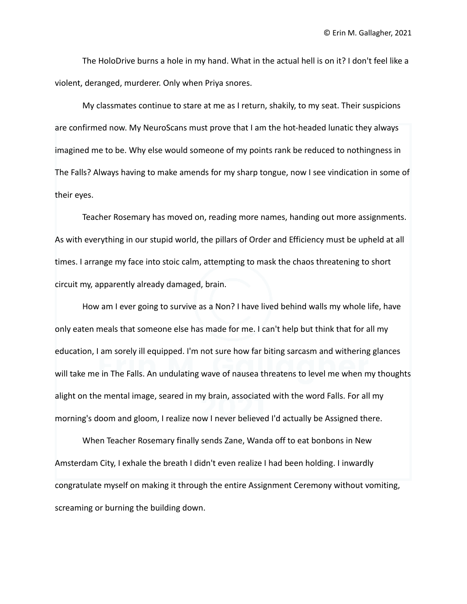The HoloDrive burns a hole in my hand. What in the actual hell is on it? I don't feel like a violent, deranged, murderer. Only when Priya snores.

My classmates continue to stare at me as I return, shakily, to my seat. Their suspicions are confirmed now. My NeuroScans must prove that I am the hot-headed lunatic they always imagined me to be. Why else would someone of my points rank be reduced to nothingness in The Falls? Always having to make amends for my sharp tongue, now I see vindication in some of their eyes.

Teacher Rosemary has moved on, reading more names, handing out more assignments. As with everything in our stupid world, the pillars of Order and Efficiency must be upheld at all times. I arrange my face into stoic calm, attempting to mask the chaos threatening to short circuit my, apparently already damaged, brain.

How am I ever going to survive as a Non? I have lived behind walls my whole life, have only eaten meals that someone else has made for me. I can't help but think that for all my education, I am sorely ill equipped. I'm not sure how far biting sarcasm and withering glances will take me in The Falls. An undulating wave of nausea threatens to level me when my thoughts alight on the mental image, seared in my brain, associated with the word Falls. For all my morning's doom and gloom, I realize now I never believed I'd actually be Assigned there.

When Teacher Rosemary finally sends Zane, Wanda off to eat bonbons in New Amsterdam City, I exhale the breath I didn't even realize I had been holding. I inwardly congratulate myself on making it through the entire Assignment Ceremony without vomiting, screaming or burning the building down.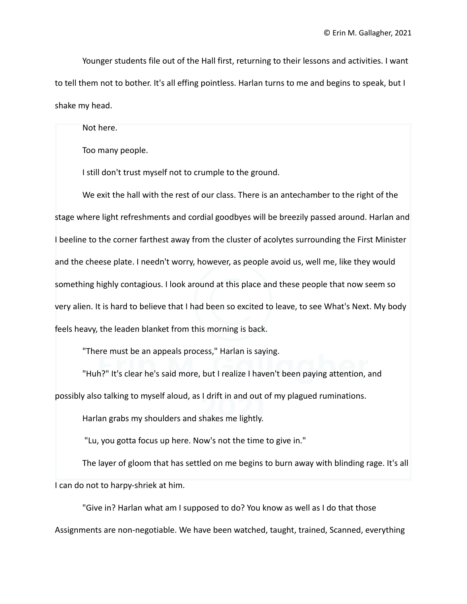Younger students file out of the Hall first, returning to their lessons and activities. I want to tell them not to bother. It's all effing pointless. Harlan turns to me and begins to speak, but I shake my head.

Not here.

Too many people.

I still don't trust myself not to crumple to the ground.

We exit the hall with the rest of our class. There is an antechamber to the right of the stage where light refreshments and cordial goodbyes will be breezily passed around. Harlan and I beeline to the corner farthest away from the cluster of acolytes surrounding the First Minister and the cheese plate. I needn't worry, however, as people avoid us, well me, like they would something highly contagious. I look around at this place and these people that now seem so very alien. It is hard to believe that I had been so excited to leave, to see What's Next. My body feels heavy, the leaden blanket from this morning is back.

"There must be an appeals process," Harlan is saying.

"Huh?" It's clear he's said more, but I realize I haven't been paying attention, and possibly also talking to myself aloud, as I drift in and out of my plagued ruminations.

Harlan grabs my shoulders and shakes me lightly.

"Lu, you gotta focus up here. Now's not the time to give in."

The layer of gloom that has settled on me begins to burn away with blinding rage. It's all I can do not to harpy-shriek at him.

"Give in? Harlan what am I supposed to do? You know as well as I do that those Assignments are non-negotiable. We have been watched, taught, trained, Scanned, everything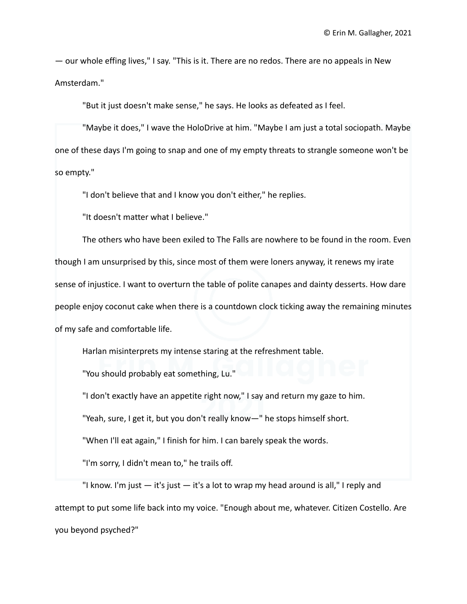— our whole effing lives," I say. "This is it. There are no redos. There are no appeals in New Amsterdam."

"But it just doesn't make sense," he says. He looks as defeated as I feel.

"Maybe it does," I wave the HoloDrive at him. "Maybe I am just a total sociopath. Maybe one of these days I'm going to snap and one of my empty threats to strangle someone won't be so empty."

"I don't believe that and I know you don't either," he replies.

"It doesn't matter what I believe."

The others who have been exiled to The Falls are nowhere to be found in the room. Even though I am unsurprised by this, since most of them were loners anyway, it renews my irate sense of injustice. I want to overturn the table of polite canapes and dainty desserts. How dare people enjoy coconut cake when there is a countdown clock ticking away the remaining minutes of my safe and comfortable life.

Harlan misinterprets my intense staring at the refreshment table.

"You should probably eat something, Lu."

"I don't exactly have an appetite right now," I say and return my gaze to him.

"Yeah, sure, I get it, but you don't really know—" he stops himself short.

"When I'll eat again," I finish for him. I can barely speak the words.

"I'm sorry, I didn't mean to," he trails off.

"I know. I'm just — it's just — it's a lot to wrap my head around is all," I reply and attempt to put some life back into my voice. "Enough about me, whatever. Citizen Costello. Are you beyond psyched?"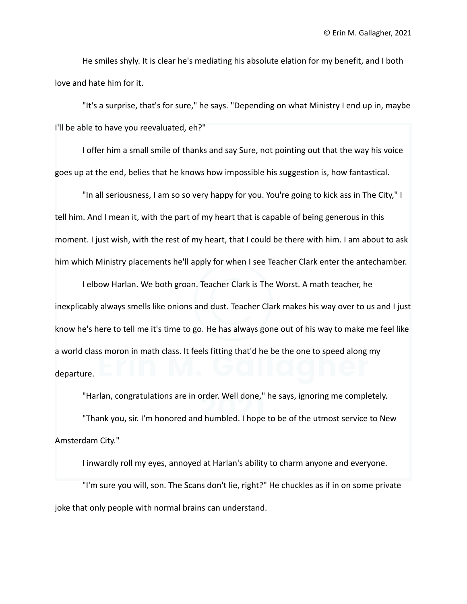He smiles shyly. It is clear he's mediating his absolute elation for my benefit, and I both love and hate him for it.

"It's a surprise, that's for sure," he says. "Depending on what Ministry I end up in, maybe I'll be able to have you reevaluated, eh?"

I offer him a small smile of thanks and say Sure, not pointing out that the way his voice goes up at the end, belies that he knows how impossible his suggestion is, how fantastical.

"In all seriousness, I am so so very happy for you. You're going to kick ass in The City," I tell him. And I mean it, with the part of my heart that is capable of being generous in this moment. I just wish, with the rest of my heart, that I could be there with him. I am about to ask him which Ministry placements he'll apply for when I see Teacher Clark enter the antechamber.

I elbow Harlan. We both groan. Teacher Clark is The Worst. A math teacher, he inexplicably always smells like onions and dust. Teacher Clark makes his way over to us and I just know he's here to tell me it's time to go. He has always gone out of his way to make me feel like a world class moron in math class. It feels fitting that'd he be the one to speed along my departure.

"Harlan, congratulations are in order. Well done," he says, ignoring me completely.

"Thank you, sir. I'm honored and humbled. I hope to be of the utmost service to New Amsterdam City."

I inwardly roll my eyes, annoyed at Harlan's ability to charm anyone and everyone.

"I'm sure you will, son. The Scans don't lie, right?" He chuckles as if in on some private joke that only people with normal brains can understand.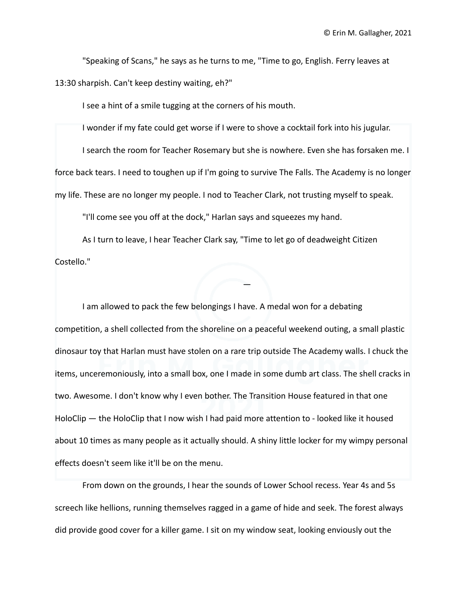"Speaking of Scans," he says as he turns to me, "Time to go, English. Ferry leaves at 13:30 sharpish. Can't keep destiny waiting, eh?"

I see a hint of a smile tugging at the corners of his mouth.

I wonder if my fate could get worse if I were to shove a cocktail fork into his jugular.

I search the room for Teacher Rosemary but she is nowhere. Even she has forsaken me. I force back tears. I need to toughen up if I'm going to survive The Falls. The Academy is no longer my life. These are no longer my people. I nod to Teacher Clark, not trusting myself to speak.

"I'll come see you off at the dock," Harlan says and squeezes my hand.

As I turn to leave, I hear Teacher Clark say, "Time to let go of deadweight Citizen Costello."

I am allowed to pack the few belongings I have. A medal won for a debating competition, a shell collected from the shoreline on a peaceful weekend outing, a small plastic dinosaur toy that Harlan must have stolen on a rare trip outside The Academy walls. I chuck the items, unceremoniously, into a small box, one I made in some dumb art class. The shell cracks in two. Awesome. I don't know why I even bother. The Transition House featured in that one HoloClip — the HoloClip that I now wish I had paid more attention to - looked like it housed about 10 times as many people as it actually should. A shiny little locker for my wimpy personal effects doesn't seem like it'll be on the menu.

—

From down on the grounds, I hear the sounds of Lower School recess. Year 4s and 5s screech like hellions, running themselves ragged in a game of hide and seek. The forest always did provide good cover for a killer game. I sit on my window seat, looking enviously out the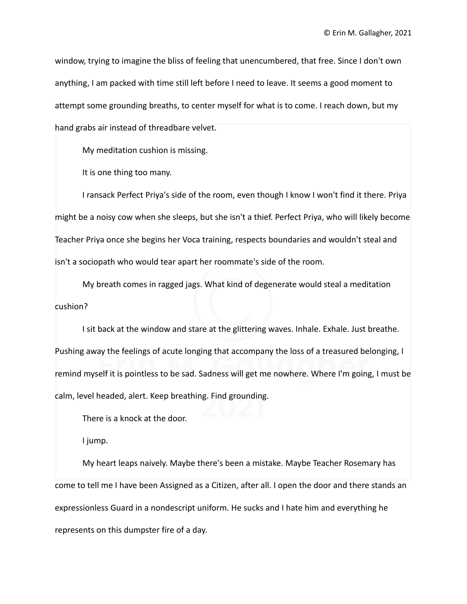window, trying to imagine the bliss of feeling that unencumbered, that free. Since I don't own anything, I am packed with time still left before I need to leave. It seems a good moment to attempt some grounding breaths, to center myself for what is to come. I reach down, but my hand grabs air instead of threadbare velvet.

My meditation cushion is missing.

It is one thing too many.

I ransack Perfect Priya's side of the room, even though I know I won't find it there. Priya might be a noisy cow when she sleeps, but she isn't a thief. Perfect Priya, who will likely become Teacher Priya once she begins her Voca training, respects boundaries and wouldn't steal and isn't a sociopath who would tear apart her roommate's side of the room.

My breath comes in ragged jags. What kind of degenerate would steal a meditation cushion?

I sit back at the window and stare at the glittering waves. Inhale. Exhale. Just breathe. Pushing away the feelings of acute longing that accompany the loss of a treasured belonging, I remind myself it is pointless to be sad. Sadness will get me nowhere. Where I'm going, I must be calm, level headed, alert. Keep breathing. Find grounding.

There is a knock at the door.

I jump.

My heart leaps naively. Maybe there's been a mistake. Maybe Teacher Rosemary has come to tell me I have been Assigned as a Citizen, after all. I open the door and there stands an expressionless Guard in a nondescript uniform. He sucks and I hate him and everything he represents on this dumpster fire of a day.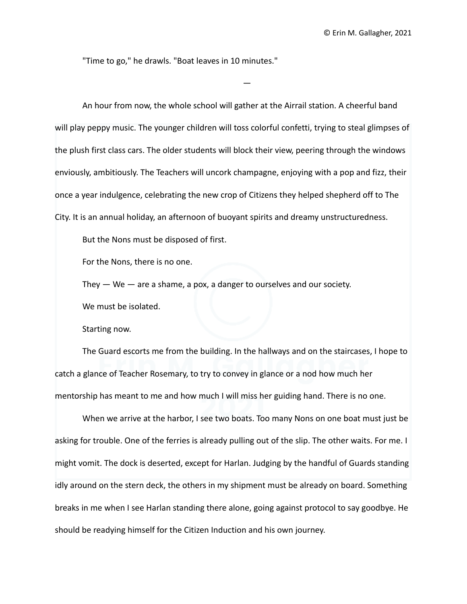"Time to go," he drawls. "Boat leaves in 10 minutes."

An hour from now, the whole school will gather at the Airrail station. A cheerful band will play peppy music. The younger children will toss colorful confetti, trying to steal glimpses of the plush first class cars. The older students will block their view, peering through the windows enviously, ambitiously. The Teachers will uncork champagne, enjoying with a pop and fizz, their once a year indulgence, celebrating the new crop of Citizens they helped shepherd off to The City. It is an annual holiday, an afternoon of buoyant spirits and dreamy unstructuredness.

—

But the Nons must be disposed of first.

For the Nons, there is no one.

They  $-$  We  $-$  are a shame, a pox, a danger to ourselves and our society.

We must be isolated.

Starting now.

The Guard escorts me from the building. In the hallways and on the staircases, I hope to catch a glance of Teacher Rosemary, to try to convey in glance or a nod how much her mentorship has meant to me and how much I will miss her guiding hand. There is no one.

When we arrive at the harbor, I see two boats. Too many Nons on one boat must just be asking for trouble. One of the ferries is already pulling out of the slip. The other waits. For me. I might vomit. The dock is deserted, except for Harlan. Judging by the handful of Guards standing idly around on the stern deck, the others in my shipment must be already on board. Something breaks in me when I see Harlan standing there alone, going against protocol to say goodbye. He should be readying himself for the Citizen Induction and his own journey.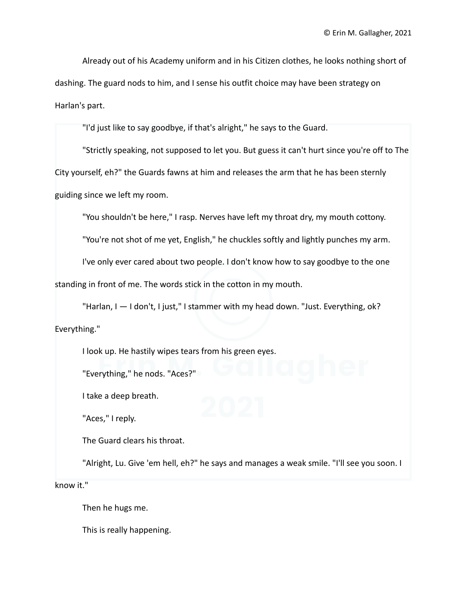Already out of his Academy uniform and in his Citizen clothes, he looks nothing short of dashing. The guard nods to him, and I sense his outfit choice may have been strategy on Harlan's part.

"I'd just like to say goodbye, if that's alright," he says to the Guard.

"Strictly speaking, not supposed to let you. But guess it can't hurt since you're off to The City yourself, eh?" the Guards fawns at him and releases the arm that he has been sternly guiding since we left my room.

"You shouldn't be here," I rasp. Nerves have left my throat dry, my mouth cottony.

"You're not shot of me yet, English," he chuckles softly and lightly punches my arm.

I've only ever cared about two people. I don't know how to say goodbye to the one

standing in front of me. The words stick in the cotton in my mouth.

"Harlan, I — I don't, I just," I stammer with my head down. "Just. Everything, ok? Everything."

I look up. He hastily wipes tears from his green eyes.

"Everything," he nods. "Aces?"

I take a deep breath.

"Aces," I reply.

The Guard clears his throat.

"Alright, Lu. Give 'em hell, eh?" he says and manages a weak smile. "I'll see you soon. I

know it."

Then he hugs me.

This is really happening.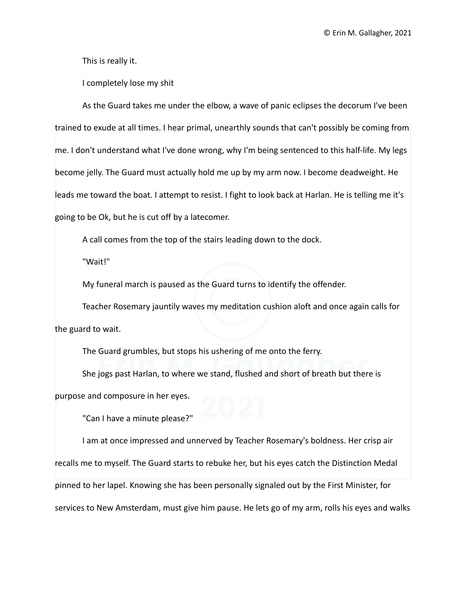This is really it.

I completely lose my shit

As the Guard takes me under the elbow, a wave of panic eclipses the decorum I've been trained to exude at all times. I hear primal, unearthly sounds that can't possibly be coming from me. I don't understand what I've done wrong, why I'm being sentenced to this half-life. My legs become jelly. The Guard must actually hold me up by my arm now. I become deadweight. He leads me toward the boat. I attempt to resist. I fight to look back at Harlan. He is telling me it's going to be Ok, but he is cut off by a latecomer.

A call comes from the top of the stairs leading down to the dock.

"Wait!"

My funeral march is paused as the Guard turns to identify the offender.

Teacher Rosemary jauntily waves my meditation cushion aloft and once again calls for the guard to wait.

The Guard grumbles, but stops his ushering of me onto the ferry.

She jogs past Harlan, to where we stand, flushed and short of breath but there is purpose and composure in her eyes.

"Can I have a minute please?"

I am at once impressed and unnerved by Teacher Rosemary's boldness. Her crisp air recalls me to myself. The Guard starts to rebuke her, but his eyes catch the Distinction Medal pinned to her lapel. Knowing she has been personally signaled out by the First Minister, for services to New Amsterdam, must give him pause. He lets go of my arm, rolls his eyes and walks